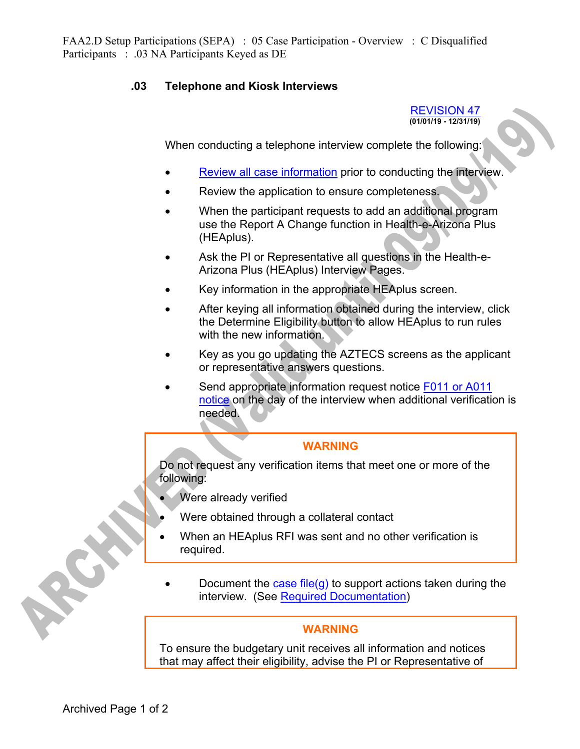## **.03 Telephone and Kiosk Interviews**

REVISION 47 **(01/01/19 - 12/31/19)** 

When conducting a telephone interview complete the following:

- Review all case information prior to conducting the interview.
- Review the application to ensure completeness.
- When the participant requests to add an additional program use the Report A Change function in Health-e-Arizona Plus (HEAplus).
- Ask the PI or Representative all questions in the Health-e-Arizona Plus (HEAplus) Interview Pages.
- Key information in the appropriate HEAplus screen.
- After keying all information obtained during the interview, click the Determine Eligibility button to allow HEAplus to run rules with the new information.
- Key as you go updating the AZTECS screens as the applicant or representative answers questions.
- Send appropriate information request notice F011 or A011 notice on the day of the interview when additional verification is needed.

## **WARNING**

Do not request any verification items that meet one or more of the following:

- Were already verified
- Were obtained through a collateral contact
- When an HEAplus RFI was sent and no other verification is required.
- Document the case file(g) to support actions taken during the interview. (See Required Documentation)

## **WARNING**

To ensure the budgetary unit receives all information and notices that may affect their eligibility, advise the PI or Representative of